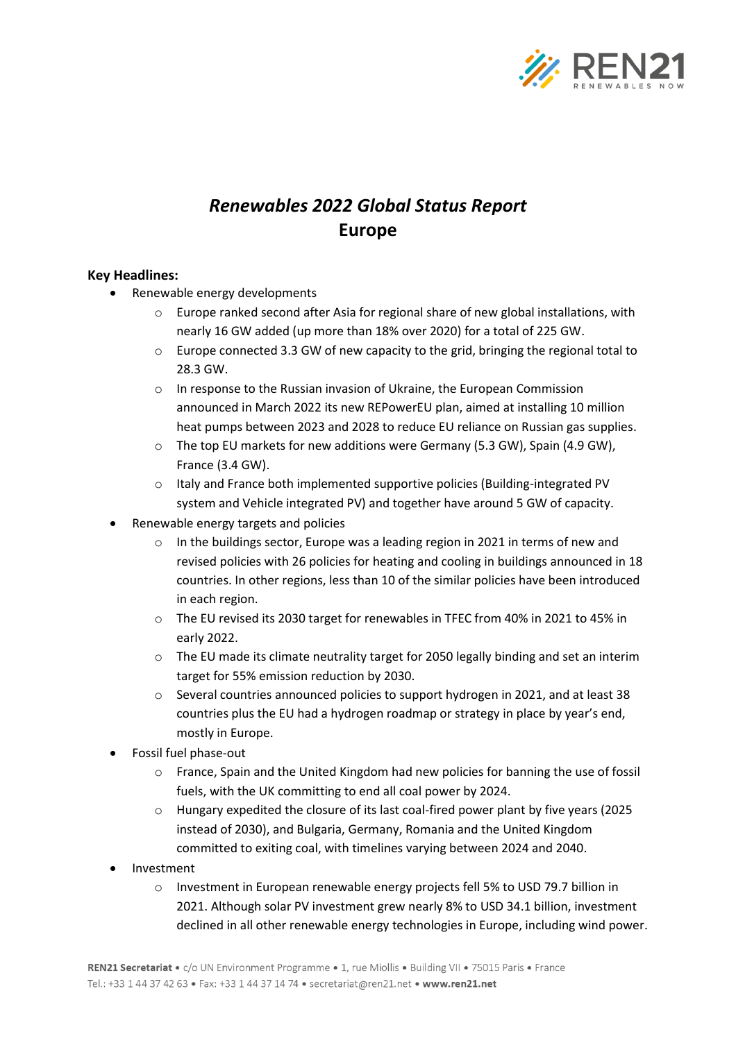

## *Renewables 2022 Global Status Report* **Europe**

## **Key Headlines:**

- Renewable energy developments
	- $\circ$  Europe ranked second after Asia for regional share of new global installations, with nearly 16 GW added (up more than 18% over 2020) for a total of 225 GW.
	- $\circ$  Europe connected 3.3 GW of new capacity to the grid, bringing the regional total to 28.3 GW.
	- o In response to the Russian invasion of Ukraine, the European Commission announced in March 2022 its new REPowerEU plan, aimed at installing 10 million heat pumps between 2023 and 2028 to reduce EU reliance on Russian gas supplies.
	- o The top EU markets for new additions were Germany (5.3 GW), Spain (4.9 GW), France (3.4 GW).
	- o Italy and France both implemented supportive policies (Building-integrated PV system and Vehicle integrated PV) and together have around 5 GW of capacity.
- Renewable energy targets and policies
	- $\circ$  In the buildings sector, Europe was a leading region in 2021 in terms of new and revised policies with 26 policies for heating and cooling in buildings announced in 18 countries. In other regions, less than 10 of the similar policies have been introduced in each region.
	- o The EU revised its 2030 target for renewables in TFEC from 40% in 2021 to 45% in early 2022.
	- $\circ$  The EU made its climate neutrality target for 2050 legally binding and set an interim target for 55% emission reduction by 2030.
	- $\circ$  Several countries announced policies to support hydrogen in 2021, and at least 38 countries plus the EU had a hydrogen roadmap or strategy in place by year's end, mostly in Europe.
- Fossil fuel phase-out
	- o France, Spain and the United Kingdom had new policies for banning the use of fossil fuels, with the UK committing to end all coal power by 2024.
	- o Hungary expedited the closure of its last coal-fired power plant by five years (2025 instead of 2030), and Bulgaria, Germany, Romania and the United Kingdom committed to exiting coal, with timelines varying between 2024 and 2040.
- Investment
	- $\circ$  Investment in European renewable energy projects fell 5% to USD 79.7 billion in 2021. Although solar PV investment grew nearly 8% to USD 34.1 billion, investment declined in all other renewable energy technologies in Europe, including wind power.